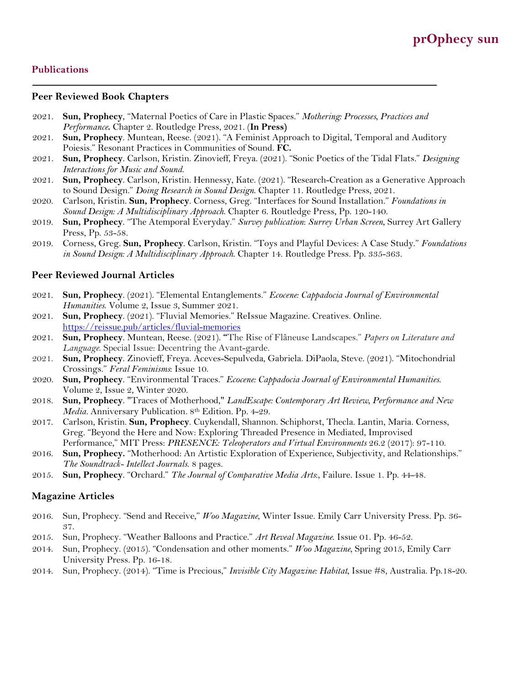## **Publications**

#### **Peer Reviewed Book Chapters**

- 2021. **Sun, Prophecy**, "Maternal Poetics of Care in Plastic Spaces." *Mothering: Processes, Practices and Performance***.** Chapter 2. Routledge Press, 2021. (**In Press)**
- 2021. **Sun, Prophecy**. Muntean, Reese. (2021). "A Feminist Approach to Digital, Temporal and Auditory Poiesis." Resonant Practices in Communities of Sound. **FC.**
- 2021. **Sun, Prophecy**. Carlson, Kristin. Zinovieff, Freya. (2021). "Sonic Poetics of the Tidal Flats." *Designing Interactions for Music and Sound*.
- 2021. **Sun, Prophecy**. Carlson, Kristin. Hennessy, Kate. (2021). "Research-Creation as a Generative Approach to Sound Design." *Doing Research in Sound Design*. Chapter 11. Routledge Press, 2021.
- 2020. Carlson, Kristin. **Sun, Prophecy**. Corness, Greg. "Interfaces for Sound Installation." *Foundations in Sound Design: A Multidisciplinary Approach*. Chapter 6. Routledge Press, Pp. 120-140.
- 2019. **Sun, Prophecy**. "The Atemporal Everyday." *Survey publication*: *Surrey Urban Screen*, Surrey Art Gallery Press, Pp. 53-58.
- 2019. Corness, Greg. **Sun, Prophecy**. Carlson, Kristin. "Toys and Playful Devices: A Case Study." *Foundations in Sound Design: A Multidisciplinary Approach*. Chapter 14. Routledge Press. Pp. 335-363.

#### **Peer Reviewed Journal Articles**

- 2021. **Sun, Prophecy**. (2021). "Elemental Entanglements." *Ecocene: Cappadocia Journal of Environmental Humanities*. Volume 2, Issue 3, Summer 2021.
- 2021. **Sun, Prophecy**. (2021). "Fluvial Memories." ReIssue Magazine. Creatives. Online. https://reissue.pub/articles/fluvial-memories
- 2021. **Sun, Prophecy**. Muntean, Reese. (2021). **"**The Rise of Flâneuse Landscapes." *Papers on Literature and Language*. Special Issue: Decentring the Avant-garde.
- 2021. **Sun, Prophecy**. Zinovieff, Freya. Aceves-Sepulveda, Gabriela. DiPaola, Steve. (2021). "Mitochondrial Crossings." *Feral Feminisms*: Issue 10.
- 2020. **Sun, Prophecy**. "Environmental Traces." *Ecocene: Cappadocia Journal of Environmental Humanities*. Volume 2, Issue 2, Winter 2020.
- 2018. **Sun, Prophecy**. "Traces of Motherhood," *LandEscape: Contemporary Art Review, Performance and New Media.* Anniversary Publication*.* 8th Edition. Pp. 4-29.
- 2017. Carlson, Kristin. **Sun, Prophecy**. Cuykendall, Shannon. Schiphorst, Thecla. Lantin, Maria. Corness, Greg. "Beyond the Here and Now: Exploring Threaded Presence in Mediated, Improvised Performance," MIT Press: *PRESENCE: Teleoperators and Virtual Environments* 26.2 (2017): 97-110.
- 2016. **Sun, Prophecy.** "Motherhood: An Artistic Exploration of Experience, Subjectivity, and Relationships." *The Soundtrack- Intellect Journals*. 8 pages.
- 2015. **Sun, Prophecy**. "Orchard." *The Journal of Comparative Media Arts*:, Failure. Issue 1. Pp. 44-48.

## **Magazine Articles**

- 2016. Sun, Prophecy. "Send and Receive," *Woo Magazine*, Winter Issue. Emily Carr University Press. Pp. 36- 37.
- 2015. Sun, Prophecy. "Weather Balloons and Practice." *Art Reveal Magazine*. Issue 01. Pp. 46-52.
- 2014. Sun, Prophecy. (2015). "Condensation and other moments." *Woo Magazine*, Spring 2015, Emily Carr University Press. Pp. 16-18.
- 2014. Sun, Prophecy. (2014). "Time is Precious," *Invisible City Magazine: Habitat*, Issue #8, Australia. Pp.18-20.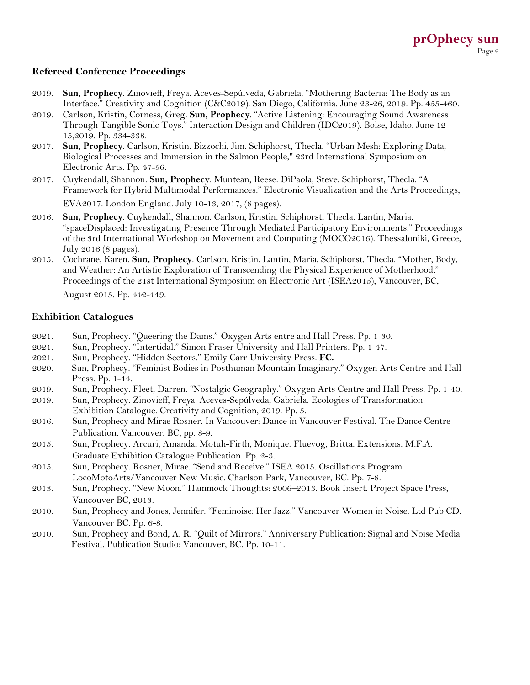# **Refereed Conference Proceedings**

- 2019. **Sun, Prophecy**. Zinovieff, Freya. Aceves-Sepúlveda, Gabriela. "Mothering Bacteria: The Body as an Interface." Creativity and Cognition (C&C2019). San Diego, California. June 23-26, 2019. Pp. 455-460.
- 2019. Carlson, Kristin, Corness, Greg. **Sun, Prophecy**. "Active Listening: Encouraging Sound Awareness Through Tangible Sonic Toys." Interaction Design and Children (IDC2019). Boise, Idaho. June 12- 15,2019. Pp. 334-338.
- 2017. **Sun, Prophecy**. Carlson, Kristin. Bizzochi, Jim. Schiphorst, Thecla. "Urban Mesh: Exploring Data, Biological Processes and Immersion in the Salmon People," 23rd International Symposium on Electronic Arts. Pp. 47-56.
- 2017. Cuykendall, Shannon. **Sun, Prophecy**. Muntean, Reese. DiPaola, Steve. Schiphorst, Thecla. "A Framework for Hybrid Multimodal Performances." Electronic Visualization and the Arts Proceedings, EVA2017. London England. July 10-13, 2017, (8 pages).
- 2016. **Sun, Prophecy**. Cuykendall, Shannon. Carlson, Kristin. Schiphorst, Thecla. Lantin, Maria. "spaceDisplaced: Investigating Presence Through Mediated Participatory Environments." Proceedings of the 3rd International Workshop on Movement and Computing (MOCO2016). Thessaloniki, Greece, July 2016 (8 pages).
- 2015. Cochrane, Karen. **Sun, Prophecy**. Carlson, Kristin. Lantin, Maria, Schiphorst, Thecla. "Mother, Body, and Weather: An Artistic Exploration of Transcending the Physical Experience of Motherhood." Proceedings of the 21st International Symposium on Electronic Art (ISEA2015), Vancouver, BC,

August 2015. Pp. 442-449.

## **Exhibition Catalogues**

- 2021. Sun, Prophecy. "Queering the Dams." Oxygen Arts entre and Hall Press. Pp. 1-30.
- 2021. Sun, Prophecy. "Intertidal." Simon Fraser University and Hall Printers. Pp. 1-47.
- 2021. Sun, Prophecy. "Hidden Sectors." Emily Carr University Press. **FC.**
- 2020. Sun, Prophecy. "Feminist Bodies in Posthuman Mountain Imaginary." Oxygen Arts Centre and Hall Press. Pp. 1-44.
- 2019. Sun, Prophecy. Fleet, Darren. "Nostalgic Geography." Oxygen Arts Centre and Hall Press. Pp. 1-40.
- 2019. Sun, Prophecy. Zinovieff, Freya. Aceves-Sepúlveda, Gabriela. Ecologies of Transformation. Exhibition Catalogue. Creativity and Cognition, 2019. Pp. 5.
- 2016. Sun, Prophecy and Mirae Rosner. In Vancouver: Dance in Vancouver Festival. The Dance Centre Publication. Vancouver, BC, pp. 8-9.
- 2015. Sun, Prophecy. Arcuri, Amanda, Motuh-Firth, Monique. Fluevog, Britta. Extensions. M.F.A. Graduate Exhibition Catalogue Publication. Pp. 2-3.
- 2015. Sun, Prophecy. Rosner, Mirae. "Send and Receive." ISEA 2015. Oscillations Program. LocoMotoArts/Vancouver New Music. Charlson Park, Vancouver, BC. Pp. 7-8.
- 2013. Sun, Prophecy. "New Moon." Hammock Thoughts: 2006–2013. Book Insert. Project Space Press, Vancouver BC, 2013.
- 2010. Sun, Prophecy and Jones, Jennifer. "Feminoise: Her Jazz:" Vancouver Women in Noise. Ltd Pub CD. Vancouver BC. Pp. 6-8.
- 2010. Sun, Prophecy and Bond, A. R. "Quilt of Mirrors." Anniversary Publication: Signal and Noise Media Festival. Publication Studio: Vancouver, BC. Pp. 10-11.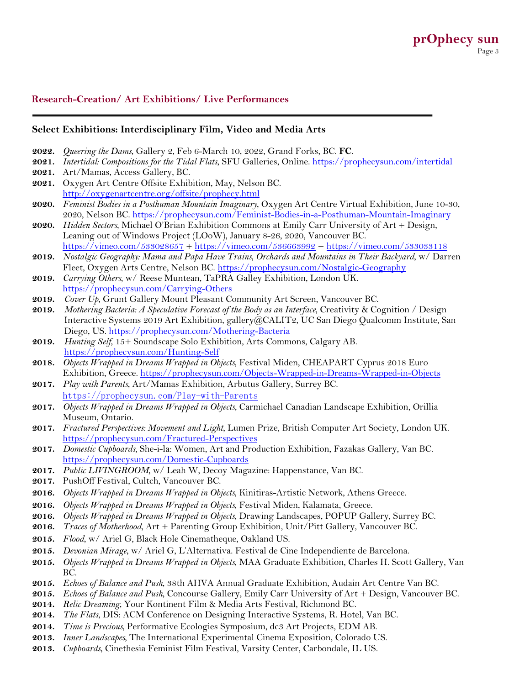# **Research-Creation/ Art Exhibitions/ Live Performances**

#### **Select Exhibitions: Interdisciplinary Film, Video and Media Arts**

- **2022.** *Queering the Dams*, Gallery 2, Feb 6-March 10, 2022, Grand Forks, BC. **FC**.
- **2021.** *Intertidal: Compositions for the Tidal Flats*, SFU Galleries, Online. https://prophecysun.com/intertidal
- **2021.** Art/Mamas, Access Gallery, BC.
- **2021.** Oxygen Art Centre Offsite Exhibition, May, Nelson BC. http://oxygenartcentre.org/offsite/prophecy.html
- **2020.** *Feminist Bodies in a Posthuman Mountain Imaginary*, Oxygen Art Centre Virtual Exhibition, June 10-30, 2020, Nelson BC. https://prophecysun.com/Feminist-Bodies-in-a-Posthuman-Mountain-Imaginary
- **2020.** *Hidden Sectors*, Michael O'Brian Exhibition Commons at Emily Carr University of Art + Design, Leaning out of Windows Project (LOoW), January 8-26, 2020, Vancouver BC. https://vimeo.com/533028657 + https://vimeo.com/536663992 + https://vimeo.com/533033118
- **2019.** *Nostalgic Geography: Mama and Papa Have Trains, Orchards and Mountains in Their Backyard*, w/ Darren Fleet, Oxygen Arts Centre, Nelson BC. https://prophecysun.com/Nostalgic-Geography
- **2019.** *Carrying Others*, w/ Reese Muntean, TaPRA Galley Exhibition, London UK. https://prophecysun.com/Carrying-Others
- **2019.** *Cover Up*, Grunt Gallery Mount Pleasant Community Art Screen, Vancouver BC.
- **2019.** *Mothering Bacteria: A Speculative Forecast of the Body as an Interface*, Creativity & Cognition / Design Interactive Systems 2019 Art Exhibition, gallery@CALIT2, UC San Diego Qualcomm Institute, San Diego, US. https://prophecysun.com/Mothering-Bacteria
- **2019.** *Hunting Self*, 15+ Soundscape Solo Exhibition, Arts Commons, Calgary AB. https://prophecysun.com/Hunting-Self
- **2018.** *Objects Wrapped in Dreams Wrapped in Objects*, Festival Miden, CHEAPART Cyprus 2018 Euro Exhibition, Greece. https://prophecysun.com/Objects-Wrapped-in-Dreams-Wrapped-in-Objects
- **2017.** *Play with Parents*, Art/Mamas Exhibition, Arbutus Gallery, Surrey BC. https://prophecysun.com/Play-with-Parents
- **2017.** *Objects Wrapped in Dreams Wrapped in Objects*, Carmichael Canadian Landscape Exhibition, Orillia Museum, Ontario.
- **2017.** *Fractured Perspectives: Movement and Light*, Lumen Prize, British Computer Art Society, London UK. https://prophecysun.com/Fractured-Perspectives
- **2017.** *Domestic Cupboards*, She-i-la: Women, Art and Production Exhibition, Fazakas Gallery, Van BC. https://prophecysun.com/Domestic-Cupboards
- **2017.** *Public LIVINGROOM,* w/ Leah W, Decoy Magazine: Happenstance, Van BC.
- **2017.** PushOff Festival, Cultch, Vancouver BC.
- **2016.** *Objects Wrapped in Dreams Wrapped in Objects*, Kinitiras-Artistic Network, Athens Greece.
- **2016.** *Objects Wrapped in Dreams Wrapped in Objects*, Festival Miden, Kalamata, Greece.
- **2016.** *Objects Wrapped in Dreams Wrapped in Objects*, Drawing Landscapes, POPUP Gallery, Surrey BC.
- **2016.** *Traces of Motherhood*, Art + Parenting Group Exhibition, Unit/Pitt Gallery, Vancouver BC.
- **2015.** *Flood*, w/ Ariel G, Black Hole Cinematheque, Oakland US.
- **2015.** *Devonian Mirage*, w/ Ariel G, L'Alternativa. Festival de Cine Independiente de Barcelona.
- **2015.** *Objects Wrapped in Dreams Wrapped in Objects*, MAA Graduate Exhibition, Charles H. Scott Gallery, Van BC.
- **2015.** *Echoes of Balance and Push*, 38th AHVA Annual Graduate Exhibition, Audain Art Centre Van BC.
- **2015.** *Echoes of Balance and Push*, Concourse Gallery, Emily Carr University of Art + Design, Vancouver BC.
- **2014.** *Relic Dreaming*, Your Kontinent Film & Media Arts Festival, Richmond BC.
- **2014.** *The Flats*, DIS: ACM Conference on Designing Interactive Systems, R. Hotel, Van BC.
- **2014.** *Time is Precious,* Performative Ecologies Symposium, dc3 Art Projects, EDM AB.
- **2013.** *Inner Landscapes,* The International Experimental Cinema Exposition, Colorado US.
- **2013.** *Cupboards*, Cinethesia Feminist Film Festival, Varsity Center, Carbondale, IL US.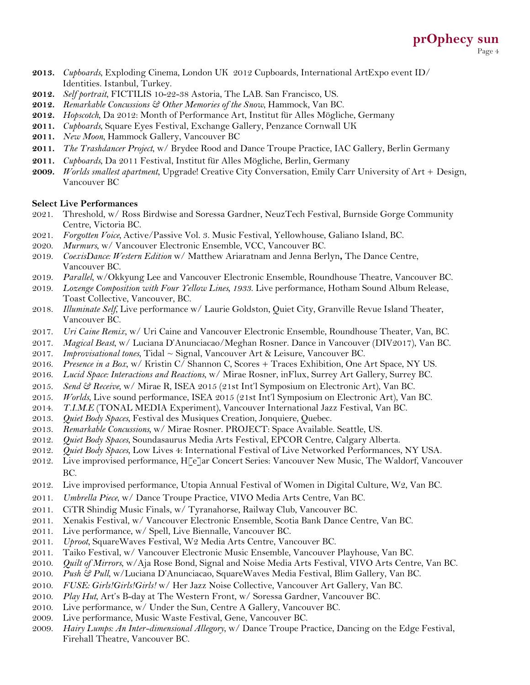- **2013.** *Cupboards*, Exploding Cinema, London UK 2012 Cupboards, International ArtExpo event ID/ Identities. Istanbul, Turkey.
- **2012.** *Self portrait*, FICTILIS 10-22-38 Astoria, The LAB. San Francisco, US.
- **2012.** *Remarkable Concussions & Other Memories of the Snow*, Hammock, Van BC.
- **2012.** *Hopscotch*, Da 2012: Month of Performance Art, Institut für Alles Mögliche, Germany
- **2011.** *Cupboards*, Square Eyes Festival, Exchange Gallery, Penzance Cornwall UK
- **2011.** *New Moon*, Hammock Gallery, Vancouver BC
- **2011.** *The Trashdancer Project*, w/ Brydee Rood and Dance Troupe Practice, IAC Gallery, Berlin Germany
- **2011.** *Cupboards*, Da 2011 Festival, Institut für Alles Mögliche, Berlin, Germany
- **2009.** *Worlds smallest apartment*, Upgrade! Creative City Conversation, Emily Carr University of Art + Design, Vancouver BC

#### **Select Live Performances**

- 2021. Threshold, w/ Ross Birdwise and Soressa Gardner, NeuzTech Festival, Burnside Gorge Community Centre, Victoria BC.
- 2021. *Forgotten Voice,* Active/Passive Vol. 3. Music Festival, Yellowhouse, Galiano Island, BC.
- 2020. *Murmurs*, w/ Vancouver Electronic Ensemble, VCC, Vancouver BC.
- 2019. *CoexisDance: Western Edition* w/ Matthew Ariaratnam and Jenna Berlyn**,** The Dance Centre, Vancouver BC.
- 2019. *Parallel*, w/Okkyung Lee and Vancouver Electronic Ensemble, Roundhouse Theatre, Vancouver BC.
- 2019. *Lozenge Composition with Four Yellow Lines, 1933*. Live performance, Hotham Sound Album Release, Toast Collective, Vancouver, BC.
- 2018. *Illuminate Self*, Live performance w/ Laurie Goldston, Quiet City, Granville Revue Island Theater, Vancouver BC.
- 2017. *Uri Caine Remix*, w/ Uri Caine and Vancouver Electronic Ensemble, Roundhouse Theater, Van, BC.
- 2017. *Magical Beast*, w/ Luciana D'Anunciacao/Meghan Rosner. Dance in Vancouver (DIV2017), Van BC.
- 2017. *Improvisational tones*, Tidal ~ Signal, Vancouver Art & Leisure, Vancouver BC.
- 2016. *Presence in a Box*, w/ Kristin C/ Shannon C, Scores + Traces Exhibition, One Art Space, NY US.
- 2016. *Lucid Space: Interactions and Reactions*, w/ Mirae Rosner, inFlux, Surrey Art Gallery, Surrey BC.
- 2015. *Send & Receive*, w/ Mirae R, ISEA 2015 (21st Int'l Symposium on Electronic Art), Van BC.
- 2015. *Worlds*, Live sound performance, ISEA 2015 (21st Int'l Symposium on Electronic Art), Van BC.
- 2014. *T.I.M.E* (TONAL MEDIA Experiment), Vancouver International Jazz Festival, Van BC.
- 2013. *Quiet Body Spaces*, Festival des Musiques Creation, Jonquiere, Quebec.
- 2013. *Remarkable Concussions,* w/ Mirae Rosner. PROJECT: Space Available. Seattle, US.
- 2012. *Quiet Body Spaces*, Soundasaurus Media Arts Festival, EPCOR Centre, Calgary Alberta.
- 2012. *Quiet Body Spaces*, Low Lives 4: International Festival of Live Networked Performances, NY USA.
- 2012. Live improvised performance, H[e]ar Concert Series: Vancouver New Music, The Waldorf, Vancouver BC.
- 2012. Live improvised performance, Utopia Annual Festival of Women in Digital Culture, W2, Van BC.
- 2011. *Umbrella Piece*, w/ Dance Troupe Practice, VIVO Media Arts Centre, Van BC.
- 2011. CiTR Shindig Music Finals, w/ Tyranahorse, Railway Club, Vancouver BC.
- 2011. Xenakis Festival, w/ Vancouver Electronic Ensemble, Scotia Bank Dance Centre, Van BC.
- 2011. Live performance, w/ Spell, Live Biennalle, Vancouver BC.
- 2011. *Uproot*, SquareWaves Festival, W2 Media Arts Centre, Vancouver BC.
- 2011. Taiko Festival, w/ Vancouver Electronic Music Ensemble, Vancouver Playhouse, Van BC.
- 2010. *Quilt of Mirrors*, w/Aja Rose Bond, Signal and Noise Media Arts Festival, VIVO Arts Centre, Van BC.
- 2010. *Push & Pull*, w/Luciana D'Anunciacao, SquareWaves Media Festival, Blim Gallery, Van BC.
- 2010. *FUSE: Girls!Girls!Girls!* w/ Her Jazz Noise Collective, Vancouver Art Gallery, Van BC.
- 2010. *Play Hut*, Art's B-day at The Western Front, w/ Soressa Gardner, Vancouver BC.
- 2010. Live performance, w/ Under the Sun, Centre A Gallery, Vancouver BC.
- 2009. Live performance, Music Waste Festival, Gene, Vancouver BC.
- 2009. *Hairy Lumps: An Inter-dimensional Allegory*, w/ Dance Troupe Practice, Dancing on the Edge Festival, Firehall Theatre, Vancouver BC.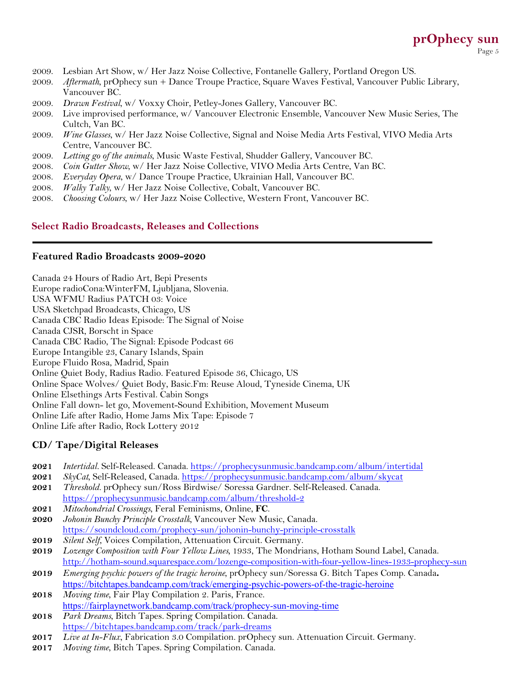# **prOphecy sun** Page 5

- 2009. Lesbian Art Show, w/ Her Jazz Noise Collective, Fontanelle Gallery, Portland Oregon US.
- 2009. *Aftermath*, prOphecy sun + Dance Troupe Practice, Square Waves Festival, Vancouver Public Library, Vancouver BC.
- 2009. *Drawn Festival*, w/ Voxxy Choir, Petley-Jones Gallery, Vancouver BC.
- 2009. Live improvised performance, w/ Vancouver Electronic Ensemble, Vancouver New Music Series, The Cultch, Van BC.
- 2009. *Wine Glasses*, w/ Her Jazz Noise Collective, Signal and Noise Media Arts Festival, VIVO Media Arts Centre, Vancouver BC.
- 2009. *Letting go of the animals*, Music Waste Festival, Shudder Gallery, Vancouver BC.
- 2008. *Coin Gutter Show*, w/ Her Jazz Noise Collective, VIVO Media Arts Centre, Van BC.
- 2008. *Everyday Opera*, w/ Dance Troupe Practice, Ukrainian Hall, Vancouver BC.
- 2008. *Walky Talky*, w/ Her Jazz Noise Collective, Cobalt, Vancouver BC.
- 2008. *Choosing Colours*, w/ Her Jazz Noise Collective, Western Front, Vancouver BC.

#### **Select Radio Broadcasts, Releases and Collections**

## **Featured Radio Broadcasts 2009-2020**

| Canada 24 Hours of Radio Art, Bepi Presents                                 |
|-----------------------------------------------------------------------------|
| Europe radioCona: WinterFM, Ljubljana, Slovenia.                            |
| USA WFMU Radius PATCH 03: Voice                                             |
| USA Sketchpad Broadcasts, Chicago, US                                       |
| Canada CBC Radio Ideas Episode: The Signal of Noise                         |
| Canada CJSR, Borscht in Space                                               |
| Canada CBC Radio, The Signal: Episode Podcast 66                            |
| Europe Intangible 23, Canary Islands, Spain                                 |
| Europe Fluido Rosa, Madrid, Spain                                           |
| Online Quiet Body, Radius Radio. Featured Episode 36, Chicago, US           |
| Online Space Wolves/ Quiet Body, Basic.Fm: Reuse Aloud, Tyneside Cinema, UK |
| Online Elsethings Arts Festival. Cabin Songs                                |
| Online Fall down- let go, Movement-Sound Exhibition, Movement Museum        |
| Online Life after Radio, Home Jams Mix Tape: Episode 7                      |
| Online Life after Radio, Rock Lottery 2012                                  |
|                                                                             |

#### **CD/ Tape/Digital Releases**

- **2021** *Intertidal.* Self-Released. Canada. https://prophecysunmusic.bandcamp.com/album/intertidal
- **2021** *SkyCat,* Self-Released, Canada. https://prophecysunmusic.bandcamp.com/album/skycat
- **2021** *Threshold.* prOphecy sun/Ross Birdwise/ Soressa Gardner. Self-Released. Canada. https://prophecysunmusic.bandcamp.com/album/threshold-2
- **2021** *Mitochondrial Crossings*, Feral Feminisms, Online, **FC**.
- **2020** *Johonin Bunchy Principle Crosstalk,* Vancouver New Music, Canada. https://soundcloud.com/prophecy-sun/johonin-bunchy-principle-crosstalk
- **2019** *Silent Self*, Voices Compilation, Attenuation Circuit. Germany.
- **2019** *Lozenge Composition with Four Yellow Lines,* 1933, The Mondrians, Hotham Sound Label, Canada. http://hotham-sound.squarespace.com/lozenge-composition-with-four-yellow-lines-1933-prophecy-sun
- **2019** *Emerging psychic powers of the tragic heroine*, prOphecy sun/Soressa G. Bitch Tapes Comp. Canada**.** https://bitchtapes.bandcamp.com/track/emerging-psychic-powers-of-the-tragic-heroine
- **2018** *Moving time*, Fair Play Compilation 2. Paris, France. https://fairplaynetwork.bandcamp.com/track/prophecy-sun-moving-time
- **2018** *Park Dreams*, Bitch Tapes. Spring Compilation. Canada. https://bitchtapes.bandcamp.com/track/park-dreams
- **2017** *Live at In-Flux*, Fabrication 3.0 Compilation. prOphecy sun. Attenuation Circuit. Germany.
- **2017** *Moving time*, Bitch Tapes. Spring Compilation. Canada.